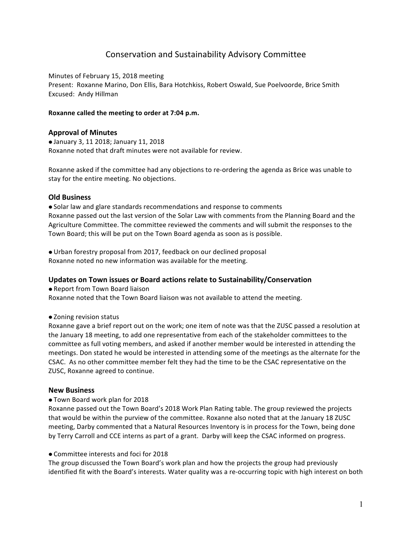# Conservation and Sustainability Advisory Committee

Minutes of February 15, 2018 meeting

Present: Roxanne Marino, Don Ellis, Bara Hotchkiss, Robert Oswald, Sue Poelvoorde, Brice Smith Excused: Andy Hillman

# Roxanne called the meeting to order at 7:04 p.m.

# **Approval of Minutes**

**• January 3, 11 2018; January 11, 2018** Roxanne noted that draft minutes were not available for review.

Roxanne asked if the committee had any objections to re-ordering the agenda as Brice was unable to stay for the entire meeting. No objections.

# **Old Business**

• Solar law and glare standards recommendations and response to comments Roxanne passed out the last version of the Solar Law with comments from the Planning Board and the Agriculture Committee. The committee reviewed the comments and will submit the responses to the Town Board; this will be put on the Town Board agenda as soon as is possible.

• Urban forestry proposal from 2017, feedback on our declined proposal Roxanne noted no new information was available for the meeting.

#### Updates on Town issues or Board actions relate to Sustainability/Conservation

• Report from Town Board liaison Roxanne noted that the Town Board liaison was not available to attend the meeting.

#### • Zoning revision status

Roxanne gave a brief report out on the work; one item of note was that the ZUSC passed a resolution at the January 18 meeting, to add one representative from each of the stakeholder committees to the committee as full voting members, and asked if another member would be interested in attending the meetings. Don stated he would be interested in attending some of the meetings as the alternate for the CSAC. As no other committee member felt they had the time to be the CSAC representative on the ZUSC, Roxanne agreed to continue.

#### **New Business**

#### ● Town Board work plan for 2018

Roxanne passed out the Town Board's 2018 Work Plan Rating table. The group reviewed the projects that would be within the purview of the committee. Roxanne also noted that at the January 18 ZUSC meeting, Darby commented that a Natural Resources Inventory is in process for the Town, being done by Terry Carroll and CCE interns as part of a grant. Darby will keep the CSAC informed on progress.

#### $\bullet$  Committee interests and foci for 2018

The group discussed the Town Board's work plan and how the projects the group had previously identified fit with the Board's interests. Water quality was a re-occurring topic with high interest on both